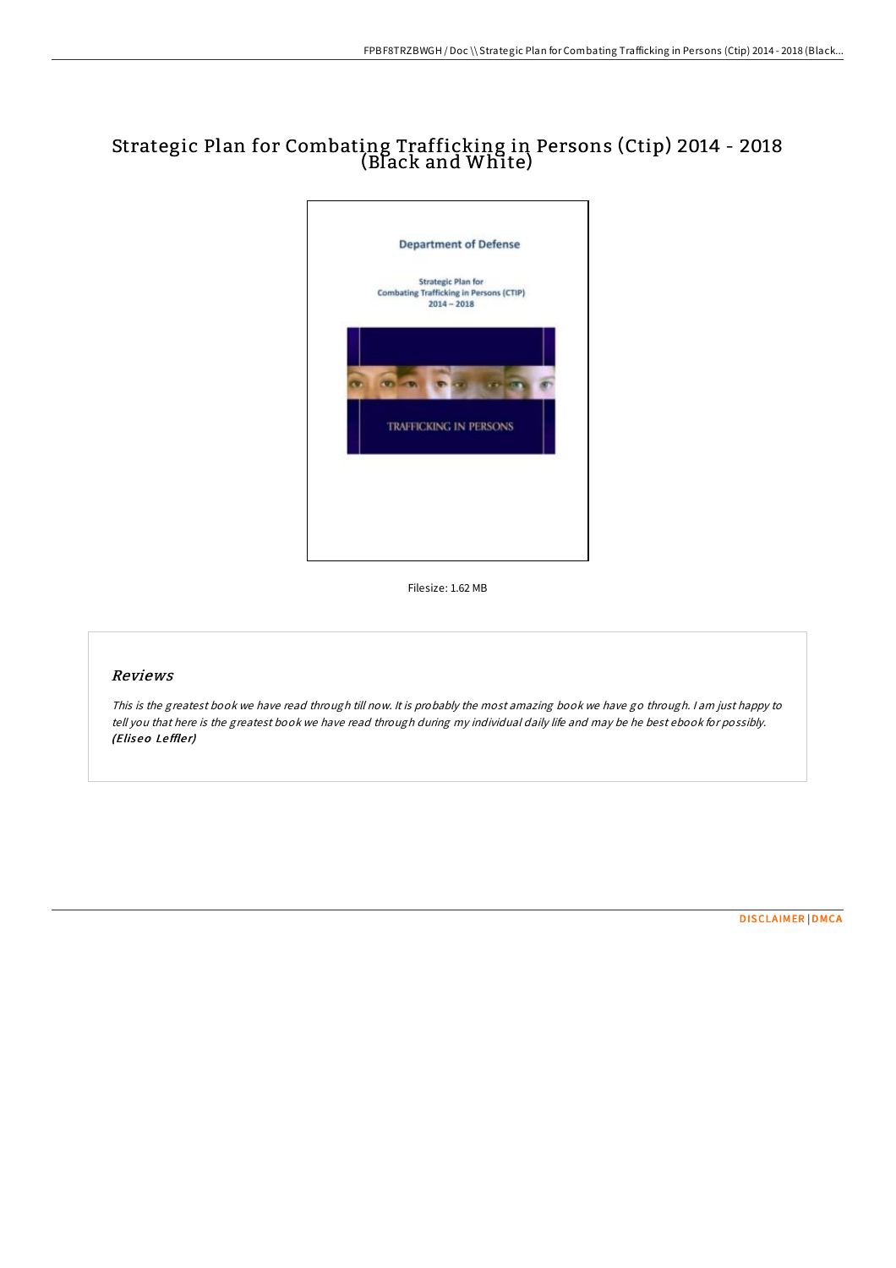# Strategic Plan for Combating Trafficking in Persons (Ctip) 2014 - 2018 (Black and White)



Filesize: 1.62 MB

### Reviews

This is the greatest book we have read through till now. It is probably the most amazing book we have go through. I am just happy to tell you that here is the greatest book we have read through during my individual daily life and may be he best ebook for possibly. (Eliseo Leffler)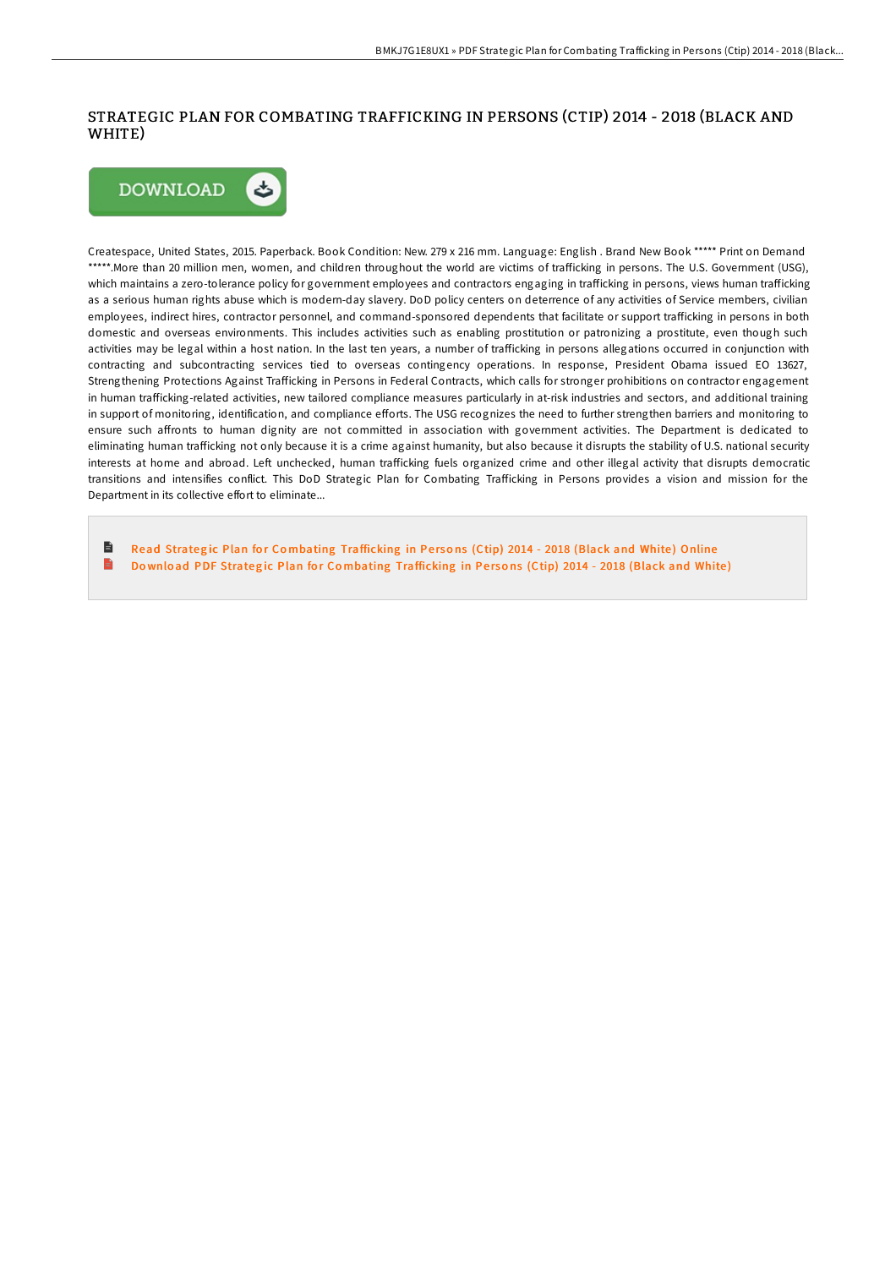# STRATEGIC PLAN FOR COMBATING TRAFFICKING IN PERSONS (CTIP) 2014 - 2018 (BLACK AND WHITE)



Createspace, United States, 2015. Paperback. Book Condition: New. 279 x 216 mm. Language: English . Brand New Book \*\*\*\*\* Print on Demand \*\*\*\*\*.More than 20 million men, women, and children throughout the world are victims of trafficking in persons. The U.S. Government (USG), which maintains a zero-tolerance policy for government employees and contractors engaging in trafficking in persons, views human trafficking as a serious human rights abuse which is modern-day slavery. DoD policy centers on deterrence of any activities of Service members, civilian employees, indirect hires, contractor personnel, and command-sponsored dependents that facilitate or support trafficking in persons in both domestic and overseas environments. This includes activities such as enabling prostitution or patronizing a prostitute, even though such activities may be legal within a host nation. In the last ten years, a number of trafficking in persons allegations occurred in conjunction with contracting and subcontracting services tied to overseas contingency operations. In response, President Obama issued EO 13627, Strengthening Protections Against Trafficking in Persons in Federal Contracts, which calls for stronger prohibitions on contractor engagement in human trafficking-related activities, new tailored compliance measures particularly in at-risk industries and sectors, and additional training in support of monitoring, identification, and compliance efforts. The USG recognizes the need to further strengthen barriers and monitoring to ensure such aEronts to human dignity are not committed in association with government activities. The Department is dedicated to eliminating human trafficking not only because it is a crime against humanity, but also because it disrupts the stability of U.S. national security interests at home and abroad. Left unchecked, human trafficking fuels organized crime and other illegal activity that disrupts democratic transitions and intensifies conflict. This DoD Strategic Plan for Combating Trafficking in Persons provides a vision and mission for the Department in its collective effort to eliminate...

B Read Strategic Plan for Combating [Trafficking](http://almighty24.tech/strategic-plan-for-combating-trafficking-in-pers.html) in Persons (Ctip) 2014 - 2018 (Black and White) Online  $\blacksquare$ Download PDF Strategic Plan for Combating [Trafficking](http://almighty24.tech/strategic-plan-for-combating-trafficking-in-pers.html) in Persons (Ctip) 2014 - 2018 (Black and White)